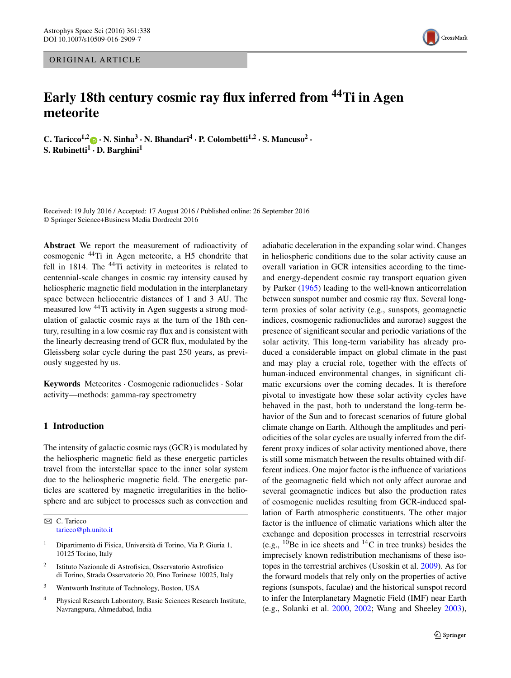## ORIGINAL ARTICLE

# **Early 18th century cosmic ray flux inferred from 44Ti in Agen meteorite**

**C.** Taricco<sup>1,2</sup> $\bullet$  **· N.** Sinha<sup>3</sup> **· N.** Bhandari<sup>4</sup> **· P.** Colombetti<sup>1,2</sup> · S. Mancuso<sup>2</sup> · **S. Rubinetti<sup>1</sup> · D. Barghini<sup>1</sup>**

Received: 19 July 2016 / Accepted: 17 August 2016 / Published online: 26 September 2016 © Springer Science+Business Media Dordrecht 2016

**Abstract** We report the measurement of radioactivity of cosmogenic 44Ti in Agen meteorite, a H5 chondrite that fell in 1814. The <sup>44</sup>Ti activity in meteorites is related to centennial-scale changes in cosmic ray intensity caused by heliospheric magnetic field modulation in the interplanetary space between heliocentric distances of 1 and 3 AU. The measured low 44Ti activity in Agen suggests a strong modulation of galactic cosmic rays at the turn of the 18th century, resulting in a low cosmic ray flux and is consistent with the linearly decreasing trend of GCR flux, modulated by the Gleissberg solar cycle during the past 250 years, as previously suggested by us.

**Keywords** Meteorites · Cosmogenic radionuclides · Solar activity—methods: gamma-ray spectrometry

## **1 Introduction**

The intensity of galactic cosmic rays (GCR) is modulated by the heliospheric magnetic field as these energetic particles travel from the interstellar space to the inner solar system due to the heliospheric magnetic field. The energetic particles are scattered by magnetic irregularities in the heliosphere and are subject to processes such as convection and

 $\boxtimes$  C. Taricco [taricco@ph.unito.it](mailto:taricco@ph.unito.it)

- <sup>1</sup> Dipartimento di Fisica, Università di Torino, Via P. Giuria 1, 10125 Torino, Italy
- <sup>2</sup> Istituto Nazionale di Astrofisica, Osservatorio Astrofisico di Torino, Strada Osservatorio 20, Pino Torinese 10025, Italy
- <sup>3</sup> Wentworth Institute of Technology, Boston, USA
- <sup>4</sup> Physical Research Laboratory, Basic Sciences Research Institute, Navrangpura, Ahmedabad, India

adiabatic deceleration in the expanding solar wind. Changes in heliospheric conditions due to the solar activity cause an overall variation in GCR intensities according to the timeand energy-dependent cosmic ray transport equation given by Parker ([1965\)](#page-4-0) leading to the well-known anticorrelation between sunspot number and cosmic ray flux. Several longterm proxies of solar activity (e.g., sunspots, geomagnetic indices, cosmogenic radionuclides and aurorae) suggest the presence of significant secular and periodic variations of the solar activity. This long-term variability has already produced a considerable impact on global climate in the past and may play a crucial role, together with the effects of human-induced environmental changes, in significant climatic excursions over the coming decades. It is therefore pivotal to investigate how these solar activity cycles have behaved in the past, both to understand the long-term behavior of the Sun and to forecast scenarios of future global climate change on Earth. Although the amplitudes and periodicities of the solar cycles are usually inferred from the different proxy indices of solar activity mentioned above, there is still some mismatch between the results obtained with different indices. One major factor is the influence of variations of the geomagnetic field which not only affect aurorae and several geomagnetic indices but also the production rates of cosmogenic nuclides resulting from GCR-induced spallation of Earth atmospheric constituents. The other major factor is the influence of climatic variations which alter the exchange and deposition processes in terrestrial reservoirs (e.g.,  $^{10}$ Be in ice sheets and  $^{14}$ C in tree trunks) besides the imprecisely known redistribution mechanisms of these isotopes in the terrestrial archives (Usoskin et al. [2009\)](#page-4-1). As for the forward models that rely only on the properties of active regions (sunspots, faculae) and the historical sunspot record to infer the Interplanetary Magnetic Field (IMF) near Earth (e.g., Solanki et al. [2000](#page-4-2), [2002;](#page-4-3) Wang and Sheeley [2003](#page-4-4)),

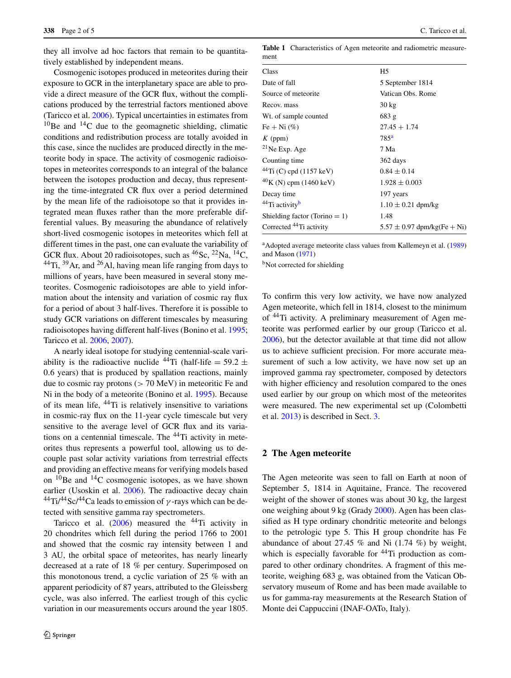they all involve ad hoc factors that remain to be quantitatively established by independent means.

Cosmogenic isotopes produced in meteorites during their exposure to GCR in the interplanetary space are able to provide a direct measure of the GCR flux, without the complications produced by the terrestrial factors mentioned above (Taricco et al. [2006](#page-4-5)). Typical uncertainties in estimates from  $10$ Be and  $14$ C due to the geomagnetic shielding, climatic conditions and redistribution process are totally avoided in this case, since the nuclides are produced directly in the meteorite body in space. The activity of cosmogenic radioisotopes in meteorites corresponds to an integral of the balance between the isotopes production and decay, thus representing the time-integrated CR flux over a period determined by the mean life of the radioisotope so that it provides integrated mean fluxes rather than the more preferable differential values. By measuring the abundance of relatively short-lived cosmogenic isotopes in meteorites which fell at different times in the past, one can evaluate the variability of GCR flux. About 20 radioisotopes, such as  ${}^{46}$ Sc,  ${}^{22}$ Na,  ${}^{14}$ C, <sup>44</sup>Ti, <sup>39</sup>Ar, and <sup>26</sup>Al, having mean life ranging from days to millions of years, have been measured in several stony meteorites. Cosmogenic radioisotopes are able to yield information about the intensity and variation of cosmic ray flux for a period of about 3 half-lives. Therefore it is possible to study GCR variations on different timescales by measuring radioisotopes having different half-lives (Bonino et al. [1995](#page-4-6); Taricco et al. [2006,](#page-4-5) [2007\)](#page-4-7).

A nearly ideal isotope for studying centennial-scale variability is the radioactive nuclide <sup>44</sup>Ti (half-life = 59.2  $\pm$ 0*.*6 years) that is produced by spallation reactions, mainly due to cosmic ray protons (*>* 70 MeV) in meteoritic Fe and Ni in the body of a meteorite (Bonino et al. [1995](#page-4-6)). Because of its mean life, 44Ti is relatively insensitive to variations in cosmic-ray flux on the 11-year cycle timescale but very sensitive to the average level of GCR flux and its variations on a centennial timescale. The <sup>44</sup>Ti activity in meteorites thus represents a powerful tool, allowing us to decouple past solar activity variations from terrestrial effects and providing an effective means for verifying models based on  $^{10}$ Be and  $^{14}$ C cosmogenic isotopes, as we have shown earlier (Usoskin et al. [2006\)](#page-4-8). The radioactive decay chain 44Ti/44Sc/44Ca leads to emission of *γ* -rays which can be detected with sensitive gamma ray spectrometers.

Taricco et al.  $(2006)$  $(2006)$  measured the <sup>44</sup>Ti activity in 20 chondrites which fell during the period 1766 to 2001 and showed that the cosmic ray intensity between 1 and 3 AU, the orbital space of meteorites, has nearly linearly decreased at a rate of 18 % per century. Superimposed on this monotonous trend, a cyclic variation of 25 % with an apparent periodicity of 87 years, attributed to the Gleissberg cycle, was also inferred. The earliest trough of this cyclic variation in our measurements occurs around the year 1805.

<span id="page-1-2"></span>

|      | <b>Table 1</b> Characteristics of Agen meteorite and radiometric measure- |
|------|---------------------------------------------------------------------------|
| ment |                                                                           |

| Class                                  | H5                              |  |  |
|----------------------------------------|---------------------------------|--|--|
| Date of fall                           | 5 September 1814                |  |  |
| Source of meteorite                    | Vatican Obs. Rome               |  |  |
| Recov. mass                            | $30 \text{ kg}$                 |  |  |
| Wt. of sample counted                  | 683 g                           |  |  |
| Fe + Ni $(\%)$                         | $27.45 + 1.74$                  |  |  |
| $K$ (ppm)                              | 785 <sup>a</sup>                |  |  |
| $^{21}$ Ne Exp. Age                    | 7 Ma                            |  |  |
| Counting time                          | 362 days                        |  |  |
| $^{44}$ Ti (C) cpd (1157 keV)          | $0.84 \pm 0.14$                 |  |  |
| ${}^{40}$ K (N) cpm (1460 keV)         | $1.928 \pm 0.003$               |  |  |
| Decay time                             | 197 years                       |  |  |
| <sup>44</sup> Ti activity <sup>b</sup> | $1.10 \pm 0.21$ dpm/kg          |  |  |
| Shielding factor (Torino $= 1$ )       | 1.48                            |  |  |
| Corrected <sup>44</sup> Ti activity    | $5.57 \pm 0.97$ dpm/kg(Fe + Ni) |  |  |

<span id="page-1-1"></span><span id="page-1-0"></span><sup>a</sup>Adopted average meteorite class values from Kallemeyn et al. [\(1989](#page-4-9)) and Mason [\(1971](#page-4-10))

<sup>b</sup>Not corrected for shielding

To confirm this very low activity, we have now analyzed Agen meteorite, which fell in 1814, closest to the minimum of 44Ti activity. A preliminary measurement of Agen meteorite was performed earlier by our group (Taricco et al. [2006\)](#page-4-5), but the detector available at that time did not allow us to achieve sufficient precision. For more accurate measurement of such a low activity, we have now set up an improved gamma ray spectrometer, composed by detectors with higher efficiency and resolution compared to the ones used earlier by our group on which most of the meteorites were measured. The new experimental set up (Colombetti et al. [2013\)](#page-4-11) is described in Sect. [3.](#page-2-0)

#### **2 The Agen meteorite**

The Agen meteorite was seen to fall on Earth at noon of September 5, 1814 in Aquitaine, France. The recovered weight of the shower of stones was about 30 kg, the largest one weighing about 9 kg (Grady [2000](#page-4-12)). Agen has been classified as H type ordinary chondritic meteorite and belongs to the petrologic type 5. This H group chondrite has Fe abundance of about 27.45 % and Ni  $(1.74 \%)$  by weight, which is especially favorable for  $44$ Ti production as compared to other ordinary chondrites. A fragment of this meteorite, weighing 683 g, was obtained from the Vatican Observatory museum of Rome and has been made available to us for gamma-ray measurements at the Research Station of Monte dei Cappuccini (INAF-OATo, Italy).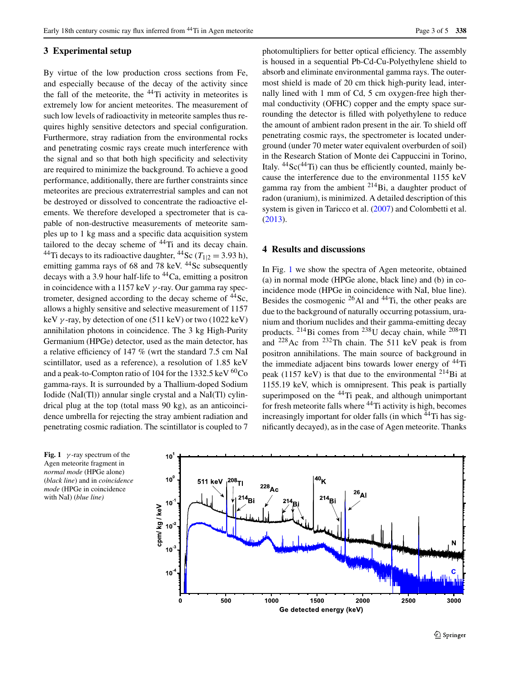#### <span id="page-2-0"></span>**3 Experimental setup**

By virtue of the low production cross sections from Fe, and especially because of the decay of the activity since the fall of the meteorite, the  $44$ Ti activity in meteorites is extremely low for ancient meteorites. The measurement of such low levels of radioactivity in meteorite samples thus requires highly sensitive detectors and special configuration. Furthermore, stray radiation from the environmental rocks and penetrating cosmic rays create much interference with the signal and so that both high specificity and selectivity are required to minimize the background. To achieve a good performance, additionally, there are further constraints since meteorites are precious extraterrestrial samples and can not be destroyed or dissolved to concentrate the radioactive elements. We therefore developed a spectrometer that is capable of non-destructive measurements of meteorite samples up to 1 kg mass and a specific data acquisition system tailored to the decay scheme of  $44$ Ti and its decay chain. <sup>44</sup>Ti decays to its radioactive daughter, <sup>44</sup>Sc ( $T_{1/2} = 3.93$  h), emitting gamma rays of  $68$  and  $78$  keV.  $44$ Sc subsequently decays with a 3.9 hour half-life to  $44$ Ca, emitting a positron in coincidence with a 1157 keV *γ* -ray. Our gamma ray spectrometer, designed according to the decay scheme of  $^{44}$ Sc, allows a highly sensitive and selective measurement of 1157 keV  $\gamma$ -ray, by detection of one (511 keV) or two (1022 keV) annihilation photons in coincidence. The 3 kg High-Purity Germanium (HPGe) detector, used as the main detector, has a relative efficiency of 147 % (wrt the standard 7.5 cm NaI scintillator, used as a reference), a resolution of 1.85 keV and a peak-to-Compton ratio of 104 for the 1332.5 keV <sup>60</sup>Co gamma-rays. It is surrounded by a Thallium-doped Sodium Iodide (NaI(Tl)) annular single crystal and a NaI(Tl) cylindrical plug at the top (total mass 90 kg), as an anticoincidence umbrella for rejecting the stray ambient radiation and penetrating cosmic radiation. The scintillator is coupled to 7 photomultipliers for better optical efficiency. The assembly is housed in a sequential Pb-Cd-Cu-Polyethylene shield to absorb and eliminate environmental gamma rays. The outermost shield is made of 20 cm thick high-purity lead, internally lined with 1 mm of Cd, 5 cm oxygen-free high thermal conductivity (OFHC) copper and the empty space surrounding the detector is filled with polyethylene to reduce the amount of ambient radon present in the air. To shield off penetrating cosmic rays, the spectrometer is located underground (under 70 meter water equivalent overburden of soil) in the Research Station of Monte dei Cappuccini in Torino, Italy.  $^{44}$ Sc( $^{44}$ Ti) can thus be efficiently counted, mainly because the interference due to the environmental 1155 keV gamma ray from the ambient  $2^{14}$ Bi, a daughter product of radon (uranium), is minimized. A detailed description of this system is given in Taricco et al. [\(2007](#page-4-7)) and Colombetti et al. [\(2013](#page-4-11)).

## **4 Results and discussions**

In Fig. [1](#page-2-1) we show the spectra of Agen meteorite, obtained (a) in normal mode (HPGe alone, black line) and (b) in coincidence mode (HPGe in coincidence with NaI, blue line). Besides the cosmogenic  $^{26}$ Al and  $^{44}$ Ti, the other peaks are due to the background of naturally occurring potassium, uranium and thorium nuclides and their gamma-emitting decay products. 214Bi comes from 238U decay chain, while 208Tl and 228Ac from 232Th chain. The 511 keV peak is from positron annihilations. The main source of background in the immediate adjacent bins towards lower energy of  $44$ Ti peak (1157 keV) is that due to the environmental  $^{214}$ Bi at 1155.19 keV, which is omnipresent. This peak is partially superimposed on the  $44$ Ti peak, and although unimportant for fresh meteorite falls where  $44$ Ti activity is high, becomes increasingly important for older falls (in which <sup>44</sup>Ti has significantly decayed), as in the case of Agen meteorite. Thanks

<span id="page-2-1"></span>**Fig. 1**  $\gamma$ -ray spectrum of the Agen meteorite fragment in *normal mode* (HPGe alone) (*black line*) and in *coincidence mode* (HPGe in coincidence with NaI) (*blue line)*

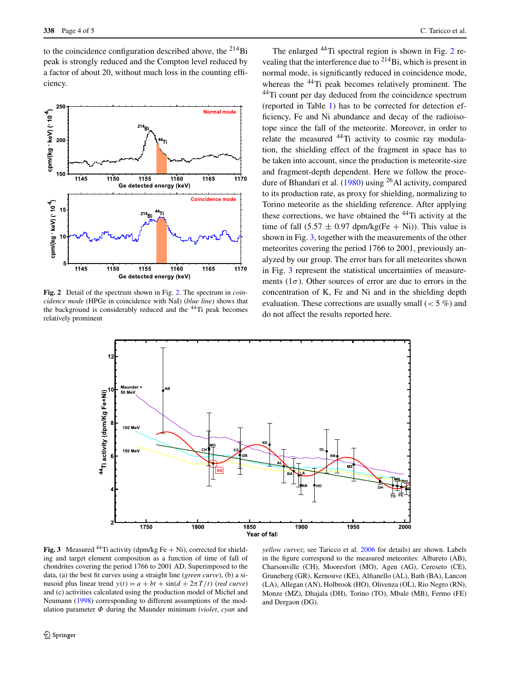to the coincidence configuration described above, the  $^{214}$ Bi peak is strongly reduced and the Compton level reduced by a factor of about 20, without much loss in the counting efficiency.



<span id="page-3-0"></span>**Fig. 2** Detail of the spectrum shown in Fig. [2](#page-3-0). The spectrum in *coincidence mode* (HPGe in coincidence with NaI) (*blue line)* shows that the background is considerably reduced and the 44Ti peak becomes relatively prominent

The enlarged <sup>44</sup>Ti spectral region is shown in Fig. [2](#page-3-0) revealing that the interference due to  $^{214}$ Bi, which is present in normal mode, is significantly reduced in coincidence mode, whereas the <sup>44</sup>Ti peak becomes relatively prominent. The 44Ti count per day deduced from the coincidence spectrum (reported in Table [1](#page-1-2)) has to be corrected for detection efficiency, Fe and Ni abundance and decay of the radioisotope since the fall of the meteorite. Moreover, in order to relate the measured <sup>44</sup>Ti activity to cosmic ray modulation, the shielding effect of the fragment in space has to be taken into account, since the production is meteorite-size and fragment-depth dependent. Here we follow the procedure of Bhandari et al.  $(1980)$  $(1980)$  using <sup>26</sup>Al activity, compared to its production rate, as proxy for shielding, normalizing to Torino meteorite as the shielding reference. After applying these corrections, we have obtained the 44Ti activity at the time of fall  $(5.57 \pm 0.97 \text{ dpm/kg}$ (Fe + Ni)). This value is shown in Fig. [3](#page-3-1), together with the measurements of the other meteorites covering the period 1766 to 2001, previously analyzed by our group. The error bars for all meteorites shown in Fig. [3](#page-3-1) represent the statistical uncertainties of measurements  $(1\sigma)$ . Other sources of error are due to errors in the concentration of K, Fe and Ni and in the shielding depth evaluation. These corrections are usually small (*<* 5 %) and do not affect the results reported here.



<span id="page-3-1"></span>**Fig. 3** Measured <sup>44</sup>Ti activity (dpm/kg Fe  $+$  Ni), corrected for shielding and target element composition as a function of time of fall of chondrites covering the period 1766 to 2001 AD. Superimposed to the data, (a) the best fit curves using a straight line (*green curve*), (b) a sinusoid plus linear trend  $y(t) = a + bt + \sin((d + 2\pi T/t))$  (*red curve*) and (c) activities calculated using the production model of Michel and Neumann [\(1998](#page-4-14)) corresponding to different assumptions of the modulation parameter *Φ* during the Maunder minimum (*violet*, *cyan* and

*yellow curves*; see Taricco et al. [2006](#page-4-5) for details) are shown. Labels in the figure correspond to the measured meteorites: Albareto (AB), Charsonville (CH), Mooresfort (MO), Agen (AG), Cereseto (CE), Gruneberg (GR), Kernouve (KE), Alfianello (AL), Bath (BA), Lancon (LA), Allegan (AN), Holbrook (HO), Olivenza (OL), Rio Negro (RN), Monze (MZ), Dhajala (DH), Torino (TO), Mbale (MB), Fermo (FE) and Dergaon (DG).